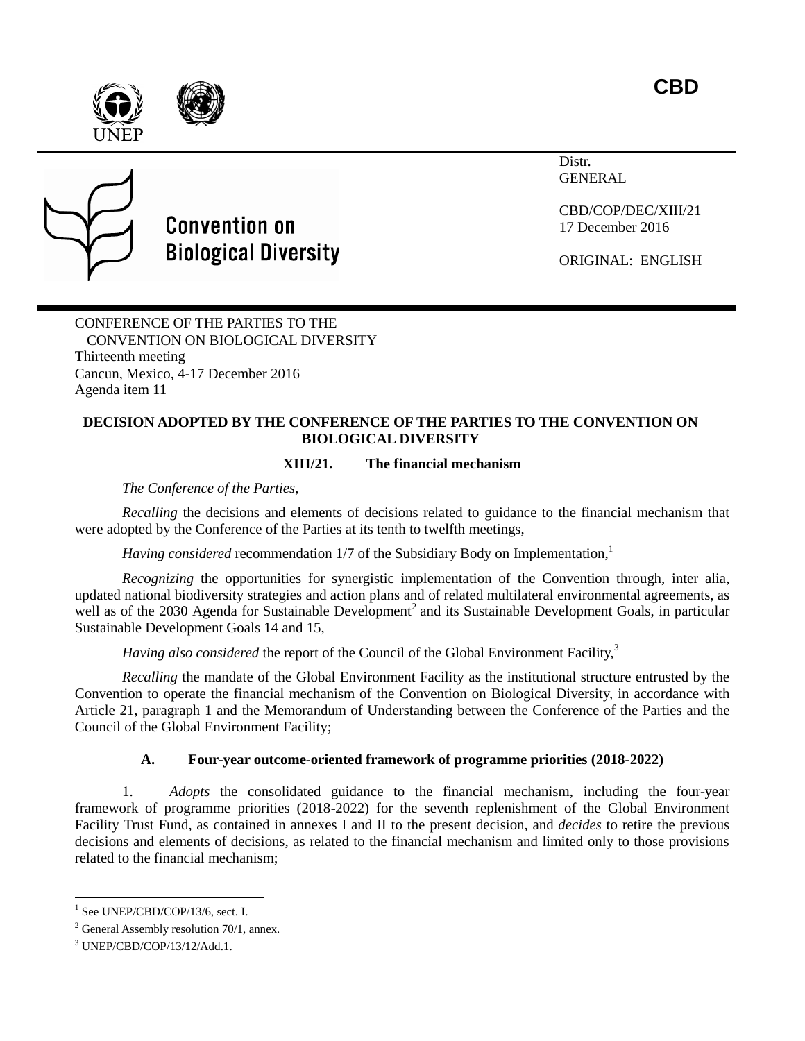**CBD**





# **Convention on Biological Diversity**

Distr. GENERAL

CBD/COP/DEC/XIII/21 17 December 2016

ORIGINAL: ENGLISH

CONFERENCE OF THE PARTIES TO THE CONVENTION ON BIOLOGICAL DIVERSITY Thirteenth meeting Cancun, Mexico, 4-17 December 2016 Agenda item 11

## **DECISION ADOPTED BY THE CONFERENCE OF THE PARTIES TO THE CONVENTION ON BIOLOGICAL DIVERSITY**

## <span id="page-0-0"></span>**XIII/21. The financial mechanism**

*The Conference of the Parties,*

*Recalling* the decisions and elements of decisions related to guidance to the financial mechanism that were adopted by the Conference of the Parties at its tenth to twelfth meetings,

*Having considered* recommendation 1/7 of the Subsidiary Body on Implementation,<sup>1</sup>

*Recognizing* the opportunities for synergistic implementation of the Convention through, inter alia, updated national biodiversity strategies and action plans and of related multilateral environmental agreements, as well as of the 2030 Agenda for Sustainable Development<sup>2</sup> and its Sustainable Development Goals, in particular Sustainable Development Goals 14 and 15,

*Having also considered* the report of the Council of the Global Environment Facility,<sup>3</sup>

*Recalling* the mandate of the Global Environment Facility as the institutional structure entrusted by the Convention to operate the financial mechanism of the Convention on Biological Diversity, in accordance with Article 21, paragraph 1 and the Memorandum of Understanding between the Conference of the Parties and the Council of the Global Environment Facility;

## **A. Four-year outcome-oriented framework of programme priorities (2018-2022)**

1. *Adopts* the consolidated guidance to the financial mechanism, including the four-year framework of programme priorities (2018-2022) for the seventh replenishment of the Global Environment Facility Trust Fund, as contained in annexes I and II to the present decision, and *decides* to retire the previous decisions and elements of decisions, as related to the financial mechanism and limited only to those provisions related to the financial mechanism;

 1 See UNEP/CBD/COP/13/6, sect. I.

 $2$  General Assembly resolution 70/1, annex.

<sup>3</sup> UNEP/CBD/COP/13/12/Add.1.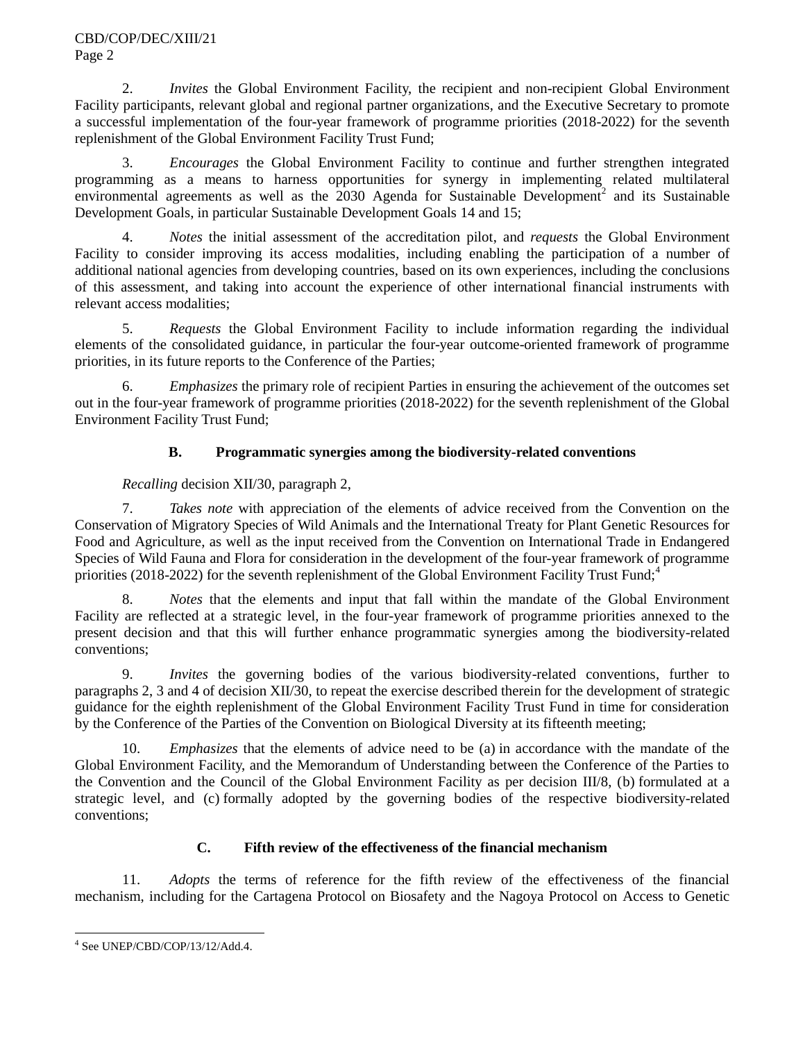## CBD/COP/DEC/XIII/21

Page 2

2. *Invites* the Global Environment Facility, the recipient and non-recipient Global Environment Facility participants, relevant global and regional partner organizations, and the Executive Secretary to promote a successful implementation of the four-year framework of programme priorities (2018-2022) for the seventh replenishment of the Global Environment Facility Trust Fund;

3. *Encourages* the Global Environment Facility to continue and further strengthen integrated programming as a means to harness opportunities for synergy in implementing related multilateral environmen[t](#page-0-0)al agreements as well as the  $2030$  Agenda for Sustainable Development<sup>2</sup> and its Sustainable Development Goals, in particular Sustainable Development Goals 14 and 15;

4. *Notes* the initial assessment of the accreditation pilot, and *requests* the Global Environment Facility to consider improving its access modalities, including enabling the participation of a number of additional national agencies from developing countries, based on its own experiences, including the conclusions of this assessment, and taking into account the experience of other international financial instruments with relevant access modalities;

5. *Requests* the Global Environment Facility to include information regarding the individual elements of the consolidated guidance, in particular the four-year outcome-oriented framework of programme priorities, in its future reports to the Conference of the Parties;

6. *Emphasizes* the primary role of recipient Parties in ensuring the achievement of the outcomes set out in the four-year framework of programme priorities (2018-2022) for the seventh replenishment of the Global Environment Facility Trust Fund;

## **B. Programmatic synergies among the biodiversity-related conventions**

*Recalling* decision XII/30, paragraph 2,

7. *Takes note* with appreciation of the elements of advice received from the Convention on the Conservation of Migratory Species of Wild Animals and the International Treaty for Plant Genetic Resources for Food and Agriculture, as well as the input received from the Convention on International Trade in Endangered Species of Wild Fauna and Flora for consideration in the development of the four-year framework of programme priorities (2018-2022) for the seventh replenishment of the Global Environment Facility Trust Fund;<sup>4</sup>

8. *Notes* that the elements and input that fall within the mandate of the Global Environment Facility are reflected at a strategic level, in the four-year framework of programme priorities annexed to the present decision and that this will further enhance programmatic synergies among the biodiversity-related conventions;

9. *Invites* the governing bodies of the various biodiversity-related conventions, further to paragraphs 2, 3 and 4 of decision XII/30, to repeat the exercise described therein for the development of strategic guidance for the eighth replenishment of the Global Environment Facility Trust Fund in time for consideration by the Conference of the Parties of the Convention on Biological Diversity at its fifteenth meeting;

10. *Emphasizes* that the elements of advice need to be (a) in accordance with the mandate of the Global Environment Facility, and the Memorandum of Understanding between the Conference of the Parties to the Convention and the Council of the Global Environment Facility as per decision III/8, (b) formulated at a strategic level, and (c) formally adopted by the governing bodies of the respective biodiversity-related conventions;

## **C. Fifth review of the effectiveness of the financial mechanism**

11. *Adopts* the terms of reference for the fifth review of the effectiveness of the financial mechanism, including for the Cartagena Protocol on Biosafety and the Nagoya Protocol on Access to Genetic

 4 See UNEP/CBD/COP/13/12/Add.4.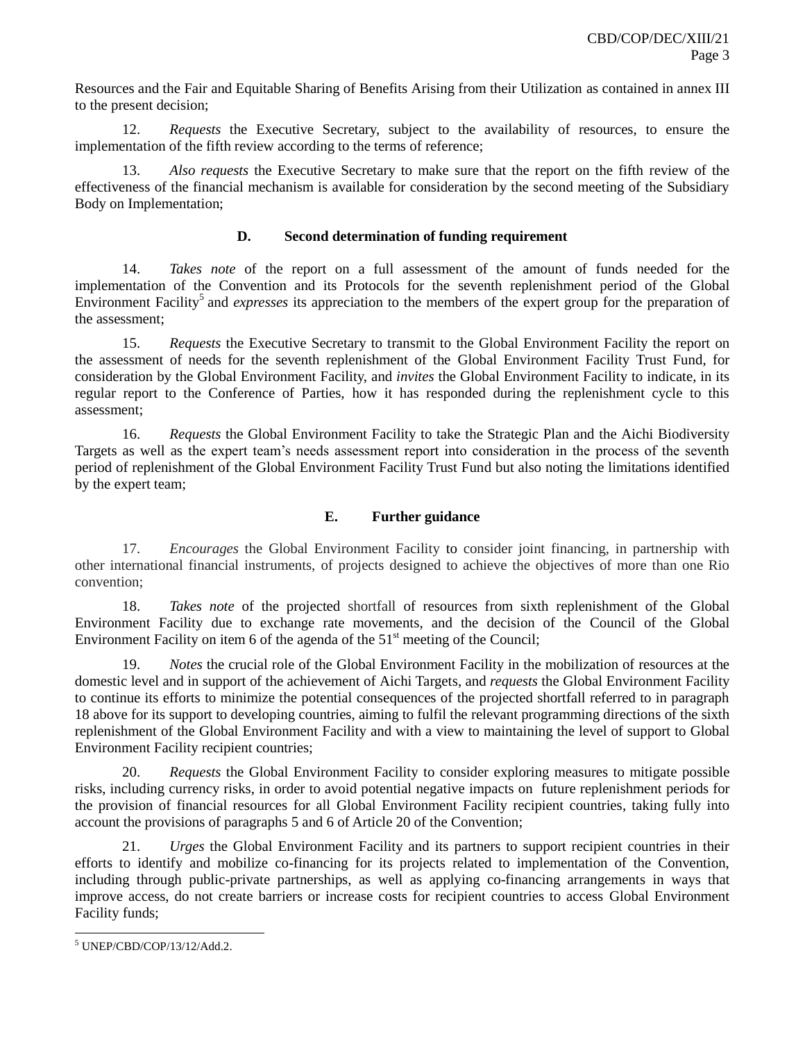Resources and the Fair and Equitable Sharing of Benefits Arising from their Utilization as contained in annex III to the present decision;

12. *Requests* the Executive Secretary, subject to the availability of resources, to ensure the implementation of the fifth review according to the terms of reference;

13. *Also requests* the Executive Secretary to make sure that the report on the fifth review of the effectiveness of the financial mechanism is available for consideration by the second meeting of the Subsidiary Body on Implementation;

#### **D. Second determination of funding requirement**

14. *Takes note* of the report on a full assessment of the amount of funds needed for the implementation of the Convention and its Protocols for the seventh replenishment period of the Global Environment Facility<sup>5</sup> and *expresses* its appreciation to the members of the expert group for the preparation of the assessment;

15. *Requests* the Executive Secretary to transmit to the Global Environment Facility the report on the assessment of needs for the seventh replenishment of the Global Environment Facility Trust Fund, for consideration by the Global Environment Facility, and *invites* the Global Environment Facility to indicate, in its regular report to the Conference of Parties, how it has responded during the replenishment cycle to this assessment;

16. *Requests* the Global Environment Facility to take the Strategic Plan and the Aichi Biodiversity Targets as well as the expert team's needs assessment report into consideration in the process of the seventh period of replenishment of the Global Environment Facility Trust Fund but also noting the limitations identified by the expert team;

#### **E. Further guidance**

17. *Encourages* the Global Environment Facility to consider joint financing, in partnership with other international financial instruments, of projects designed to achieve the objectives of more than one Rio convention;

18. *Takes note* of the projected shortfall of resources from sixth replenishment of the Global Environment Facility due to exchange rate movements, and the decision of the Council of the Global Environment Facility on item 6 of the agenda of the  $51<sup>st</sup>$  meeting of the Council;

19. *Notes* the crucial role of the Global Environment Facility in the mobilization of resources at the domestic level and in support of the achievement of Aichi Targets, and *requests* the Global Environment Facility to continue its efforts to minimize the potential consequences of the projected shortfall referred to in paragraph 18 above for its support to developing countries, aiming to fulfil the relevant programming directions of the sixth replenishment of the Global Environment Facility and with a view to maintaining the level of support to Global Environment Facility recipient countries;

20. *Requests* the Global Environment Facility to consider exploring measures to mitigate possible risks, including currency risks, in order to avoid potential negative impacts on future replenishment periods for the provision of financial resources for all Global Environment Facility recipient countries, taking fully into account the provisions of paragraphs 5 and 6 of Article 20 of the Convention;

21. *Urges* the Global Environment Facility and its partners to support recipient countries in their efforts to identify and mobilize co-financing for its projects related to implementation of the Convention, including through public-private partnerships, as well as applying co-financing arrangements in ways that improve access, do not create barriers or increase costs for recipient countries to access Global Environment Facility funds;

<sup>5</sup> UNEP/CBD/COP/13/12/Add.2.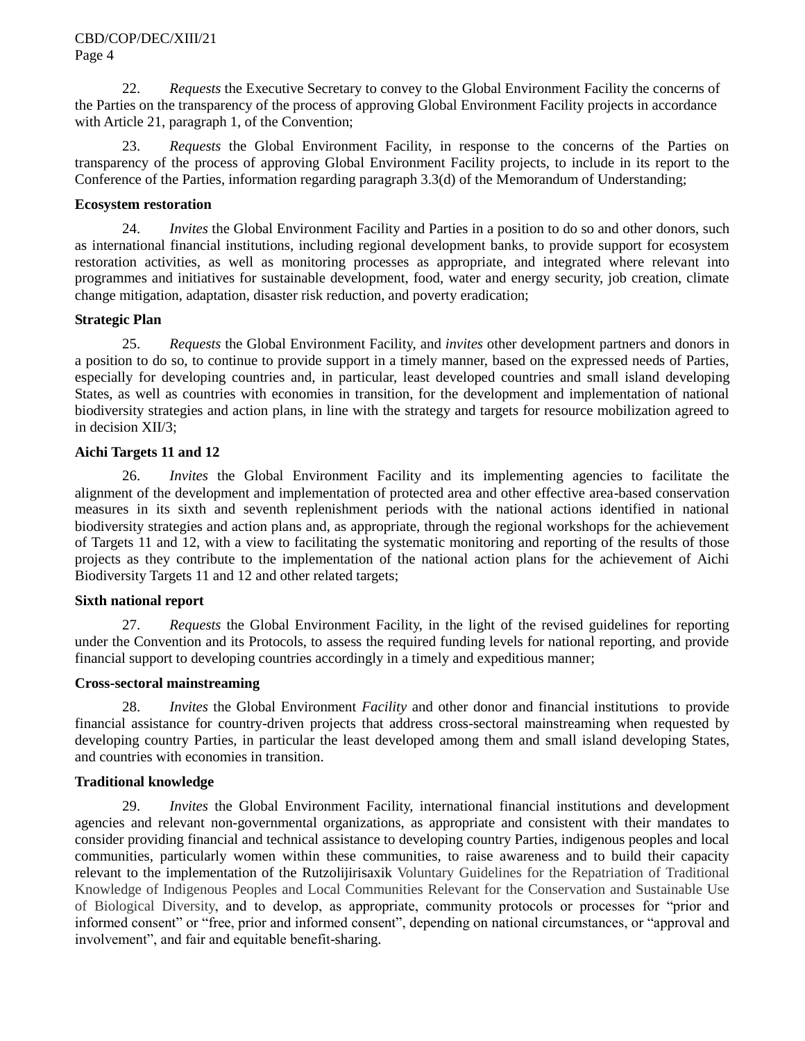Page 4

22. *Requests* the Executive Secretary to convey to the Global Environment Facility the concerns of the Parties on the transparency of the process of approving Global Environment Facility projects in accordance with Article 21, paragraph 1, of the Convention;

23. *Requests* the Global Environment Facility, in response to the concerns of the Parties on transparency of the process of approving Global Environment Facility projects, to include in its report to the Conference of the Parties, information regarding paragraph 3.3(d) of the Memorandum of Understanding;

#### **Ecosystem restoration**

24. *Invites* the Global Environment Facility and Parties in a position to do so and other donors, such as international financial institutions, including regional development banks, to provide support for ecosystem restoration activities, as well as monitoring processes as appropriate, and integrated where relevant into programmes and initiatives for sustainable development, food, water and energy security, job creation, climate change mitigation, adaptation, disaster risk reduction, and poverty eradication;

#### **Strategic Plan**

25. *Requests* the Global Environment Facility, and *invites* other development partners and donors in a position to do so, to continue to provide support in a timely manner, based on the expressed needs of Parties, especially for developing countries and, in particular, least developed countries and small island developing States, as well as countries with economies in transition, for the development and implementation of national biodiversity strategies and action plans, in line with the strategy and targets for resource mobilization agreed to in decision XII/3;

#### **Aichi Targets 11 and 12**

26. *Invites* the Global Environment Facility and its implementing agencies to facilitate the alignment of the development and implementation of protected area and other effective area-based conservation measures in its sixth and seventh replenishment periods with the national actions identified in national biodiversity strategies and action plans and, as appropriate, through the regional workshops for the achievement of Targets 11 and 12, with a view to facilitating the systematic monitoring and reporting of the results of those projects as they contribute to the implementation of the national action plans for the achievement of Aichi Biodiversity Targets 11 and 12 and other related targets;

#### **Sixth national report**

27. *Requests* the Global Environment Facility, in the light of the revised guidelines for reporting under the Convention and its Protocols, to assess the required funding levels for national reporting, and provide financial support to developing countries accordingly in a timely and expeditious manner;

#### **Cross-sectoral mainstreaming**

28. *Invites* the Global Environment *Facility* and other donor and financial institutions to provide financial assistance for country-driven projects that address cross-sectoral mainstreaming when requested by developing country Parties, in particular the least developed among them and small island developing States, and countries with economies in transition.

## **Traditional knowledge**

29. *Invites* the Global Environment Facility, international financial institutions and development agencies and relevant non-governmental organizations, as appropriate and consistent with their mandates to consider providing financial and technical assistance to developing country Parties, indigenous peoples and local communities, particularly women within these communities, to raise awareness and to build their capacity relevant to the implementation of the Rutzolijirisaxik Voluntary Guidelines for the Repatriation of Traditional Knowledge of Indigenous Peoples and Local Communities Relevant for the Conservation and Sustainable Use of Biological Diversity, and to develop, as appropriate, community protocols or processes for "prior and informed consent" or "free, prior and informed consent", depending on national circumstances, or "approval and involvement", and fair and equitable benefit-sharing.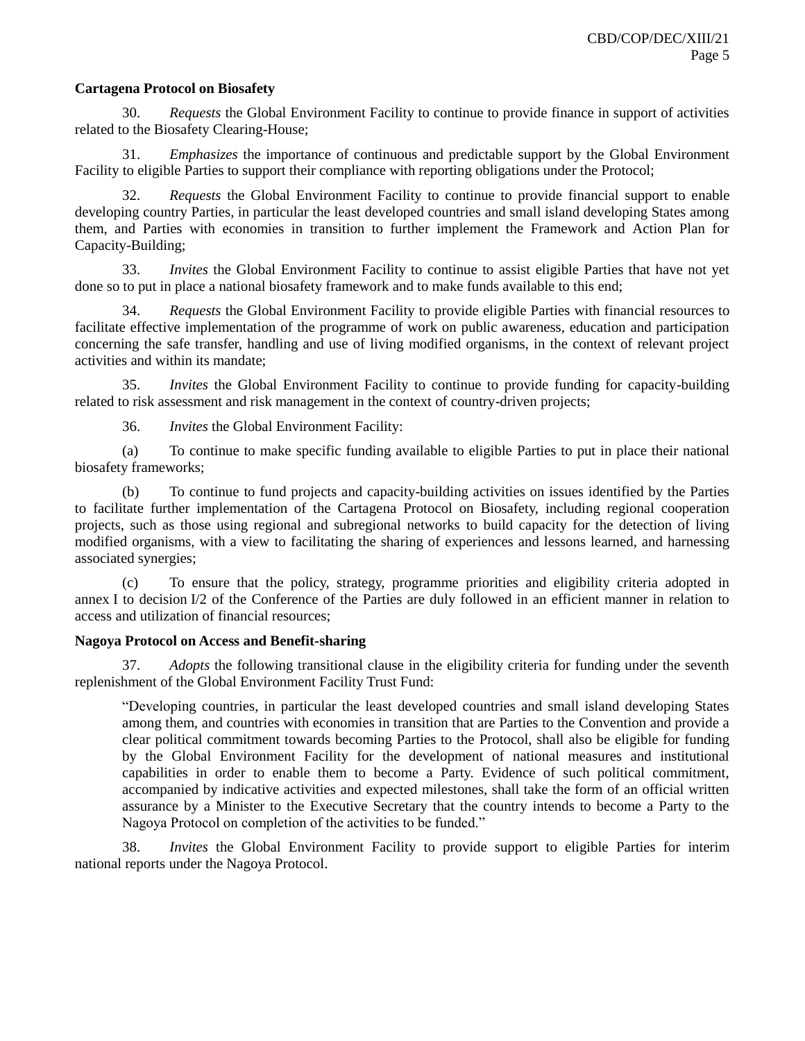#### **Cartagena Protocol on Biosafety**

30. *Requests* the Global Environment Facility to continue to provide finance in support of activities related to the Biosafety Clearing-House;

31. *Emphasizes* the importance of continuous and predictable support by the Global Environment Facility to eligible Parties to support their compliance with reporting obligations under the Protocol;

32. *Requests* the Global Environment Facility to continue to provide financial support to enable developing country Parties, in particular the least developed countries and small island developing States among them, and Parties with economies in transition to further implement the Framework and Action Plan for Capacity-Building;

33. *Invites* the Global Environment Facility to continue to assist eligible Parties that have not yet done so to put in place a national biosafety framework and to make funds available to this end;

34. *Requests* the Global Environment Facility to provide eligible Parties with financial resources to facilitate effective implementation of the programme of work on public awareness, education and participation concerning the safe transfer, handling and use of living modified organisms, in the context of relevant project activities and within its mandate;

35. *Invites* the Global Environment Facility to continue to provide funding for capacity-building related to risk assessment and risk management in the context of country-driven projects;

36. *Invites* the Global Environment Facility:

(a) To continue to make specific funding available to eligible Parties to put in place their national biosafety frameworks;

(b) To continue to fund projects and capacity-building activities on issues identified by the Parties to facilitate further implementation of the Cartagena Protocol on Biosafety, including regional cooperation projects, such as those using regional and subregional networks to build capacity for the detection of living modified organisms, with a view to facilitating the sharing of experiences and lessons learned, and harnessing associated synergies;

(c) To ensure that the policy, strategy, programme priorities and eligibility criteria adopted in annex I to decision I/2 of the Conference of the Parties are duly followed in an efficient manner in relation to access and utilization of financial resources;

#### **Nagoya Protocol on Access and Benefit-sharing**

37. *Adopts* the following transitional clause in the eligibility criteria for funding under the seventh replenishment of the Global Environment Facility Trust Fund:

"Developing countries, in particular the least developed countries and small island developing States among them, and countries with economies in transition that are Parties to the Convention and provide a clear political commitment towards becoming Parties to the Protocol, shall also be eligible for funding by the Global Environment Facility for the development of national measures and institutional capabilities in order to enable them to become a Party. Evidence of such political commitment, accompanied by indicative activities and expected milestones, shall take the form of an official written assurance by a Minister to the Executive Secretary that the country intends to become a Party to the Nagoya Protocol on completion of the activities to be funded."

38. *Invites* the Global Environment Facility to provide support to eligible Parties for interim national reports under the Nagoya Protocol.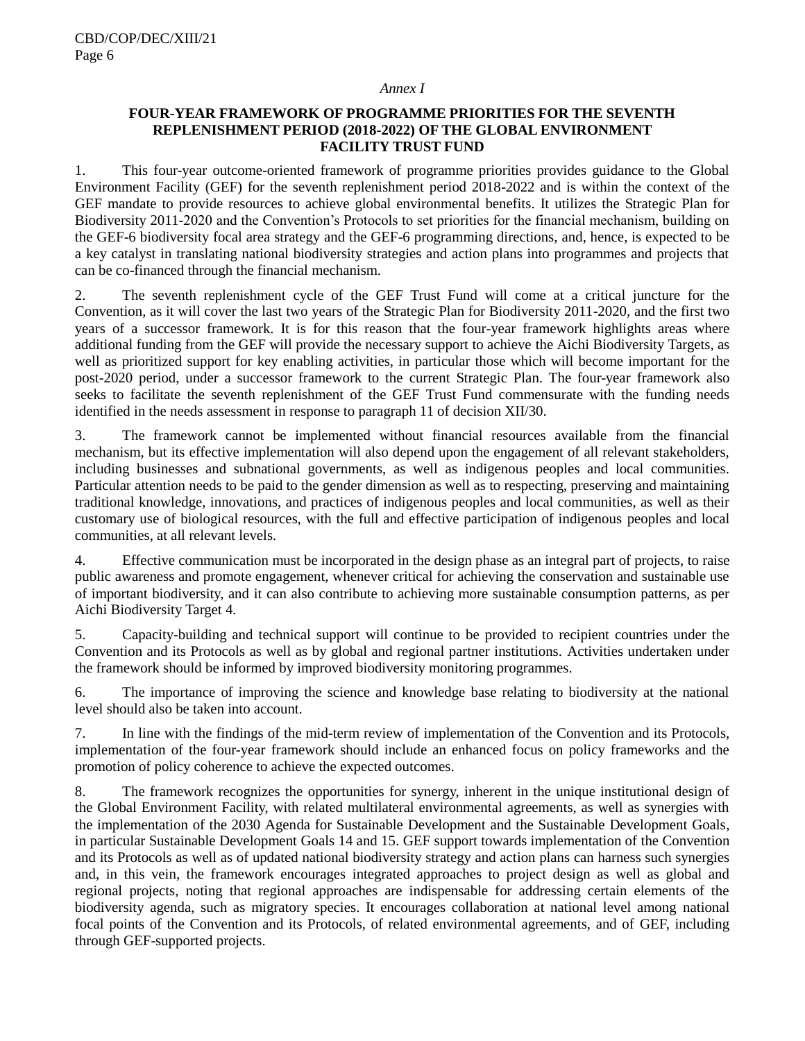#### *Annex I*

#### **FOUR-YEAR FRAMEWORK OF PROGRAMME PRIORITIES FOR THE SEVENTH REPLENISHMENT PERIOD (2018-2022) OF THE GLOBAL ENVIRONMENT FACILITY TRUST FUND**

1. This four-year outcome-oriented framework of programme priorities provides guidance to the Global Environment Facility (GEF) for the seventh replenishment period 2018-2022 and is within the context of the GEF mandate to provide resources to achieve global environmental benefits. It utilizes the Strategic Plan for Biodiversity 2011-2020 and the Convention's Protocols to set priorities for the financial mechanism, building on the GEF-6 biodiversity focal area strategy and the GEF-6 programming directions, and, hence, is expected to be a key catalyst in translating national biodiversity strategies and action plans into programmes and projects that can be co-financed through the financial mechanism.

2. The seventh replenishment cycle of the GEF Trust Fund will come at a critical juncture for the Convention, as it will cover the last two years of the Strategic Plan for Biodiversity 2011-2020, and the first two years of a successor framework. It is for this reason that the four-year framework highlights areas where additional funding from the GEF will provide the necessary support to achieve the Aichi Biodiversity Targets, as well as prioritized support for key enabling activities, in particular those which will become important for the post-2020 period, under a successor framework to the current Strategic Plan. The four-year framework also seeks to facilitate the seventh replenishment of the GEF Trust Fund commensurate with the funding needs identified in the needs assessment in response to paragraph 11 of decision XII/30.

3. The framework cannot be implemented without financial resources available from the financial mechanism, but its effective implementation will also depend upon the engagement of all relevant stakeholders, including businesses and subnational governments, as well as indigenous peoples and local communities. Particular attention needs to be paid to the gender dimension as well as to respecting, preserving and maintaining traditional knowledge, innovations, and practices of indigenous peoples and local communities, as well as their customary use of biological resources, with the full and effective participation of indigenous peoples and local communities, at all relevant levels.

4. Effective communication must be incorporated in the design phase as an integral part of projects, to raise public awareness and promote engagement, whenever critical for achieving the conservation and sustainable use of important biodiversity, and it can also contribute to achieving more sustainable consumption patterns, as per Aichi Biodiversity Target 4.

5. Capacity-building and technical support will continue to be provided to recipient countries under the Convention and its Protocols as well as by global and regional partner institutions. Activities undertaken under the framework should be informed by improved biodiversity monitoring programmes.

6. The importance of improving the science and knowledge base relating to biodiversity at the national level should also be taken into account.

7. In line with the findings of the mid-term review of implementation of the Convention and its Protocols, implementation of the four-year framework should include an enhanced focus on policy frameworks and the promotion of policy coherence to achieve the expected outcomes.

8. The framework recognizes the opportunities for synergy, inherent in the unique institutional design of the Global Environment Facility, with related multilateral environmental agreements, as well as synergies with the implementation of the 2030 Agenda for Sustainable Development and the Sustainable Development Goals, in particular Sustainable Development Goals 14 and 15. GEF support towards implementation of the Convention and its Protocols as well as of updated national biodiversity strategy and action plans can harness such synergies and, in this vein, the framework encourages integrated approaches to project design as well as global and regional projects, noting that regional approaches are indispensable for addressing certain elements of the biodiversity agenda, such as migratory species. It encourages collaboration at national level among national focal points of the Convention and its Protocols, of related environmental agreements, and of GEF, including through GEF-supported projects.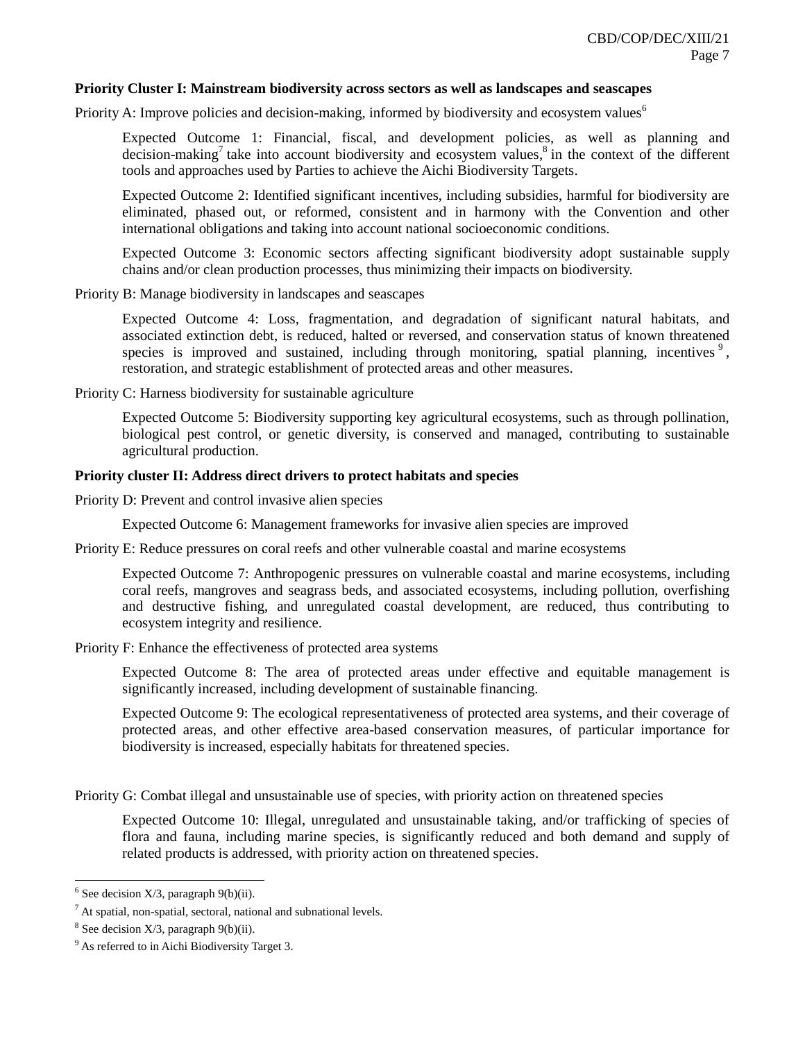#### **Priority Cluster I: Mainstream biodiversity across sectors as well as landscapes and seascapes**

Priority A: Improve policies and decision-making, informed by biodiversity and ecosystem values<sup>6</sup>

Expected Outcome 1: Financial, fiscal, and development policies, as well as planning and decision-making<sup>7</sup> take into account biodiversity and ecosystem values,  $\delta$  in the context of the different tools and approaches used by Parties to achieve the Aichi Biodiversity Targets.

Expected Outcome 2: Identified significant incentives, including subsidies, harmful for biodiversity are eliminated, phased out, or reformed, consistent and in harmony with the Convention and other international obligations and taking into account national socioeconomic conditions.

Expected Outcome 3: Economic sectors affecting significant biodiversity adopt sustainable supply chains and/or clean production processes, thus minimizing their impacts on biodiversity.

Priority B: Manage biodiversity in landscapes and seascapes

Expected Outcome 4: Loss, fragmentation, and degradation of significant natural habitats, and associated extinction debt, is reduced, halted or reversed, and conservation status of known threatened species is improved and sustained, including through monitoring, spatial planning, incentives<sup>9</sup>, restoration, and strategic establishment of protected areas and other measures.

Priority C: Harness biodiversity for sustainable agriculture

Expected Outcome 5: Biodiversity supporting key agricultural ecosystems, such as through pollination, biological pest control, or genetic diversity, is conserved and managed, contributing to sustainable agricultural production.

#### **Priority cluster II: Address direct drivers to protect habitats and species**

Priority D: Prevent and control invasive alien species

Expected Outcome 6: Management frameworks for invasive alien species are improved

Priority E: Reduce pressures on coral reefs and other vulnerable coastal and marine ecosystems

Expected Outcome 7: Anthropogenic pressures on vulnerable coastal and marine ecosystems, including coral reefs, mangroves and seagrass beds, and associated ecosystems, including pollution, overfishing and destructive fishing, and unregulated coastal development, are reduced, thus contributing to ecosystem integrity and resilience.

Priority F: Enhance the effectiveness of protected area systems

Expected Outcome 8: The area of protected areas under effective and equitable management is significantly increased, including development of sustainable financing.

Expected Outcome 9: The ecological representativeness of protected area systems, and their coverage of protected areas, and other effective area-based conservation measures, of particular importance for biodiversity is increased, especially habitats for threatened species.

Priority G: Combat illegal and unsustainable use of species, with priority action on threatened species

Expected Outcome 10: Illegal, unregulated and unsustainable taking, and/or trafficking of species of flora and fauna, including marine species, is significantly reduced and both demand and supply of related products is addressed, with priority action on threatened species.

1

 $6$  See decision X/3, paragraph 9(b)(ii).

 $7$  At spatial, non-spatial, sectoral, national and subnational levels.

 $8$  See decision X/3, paragraph 9(b)(ii).

<sup>&</sup>lt;sup>9</sup> As referred to in Aichi Biodiversity Target 3.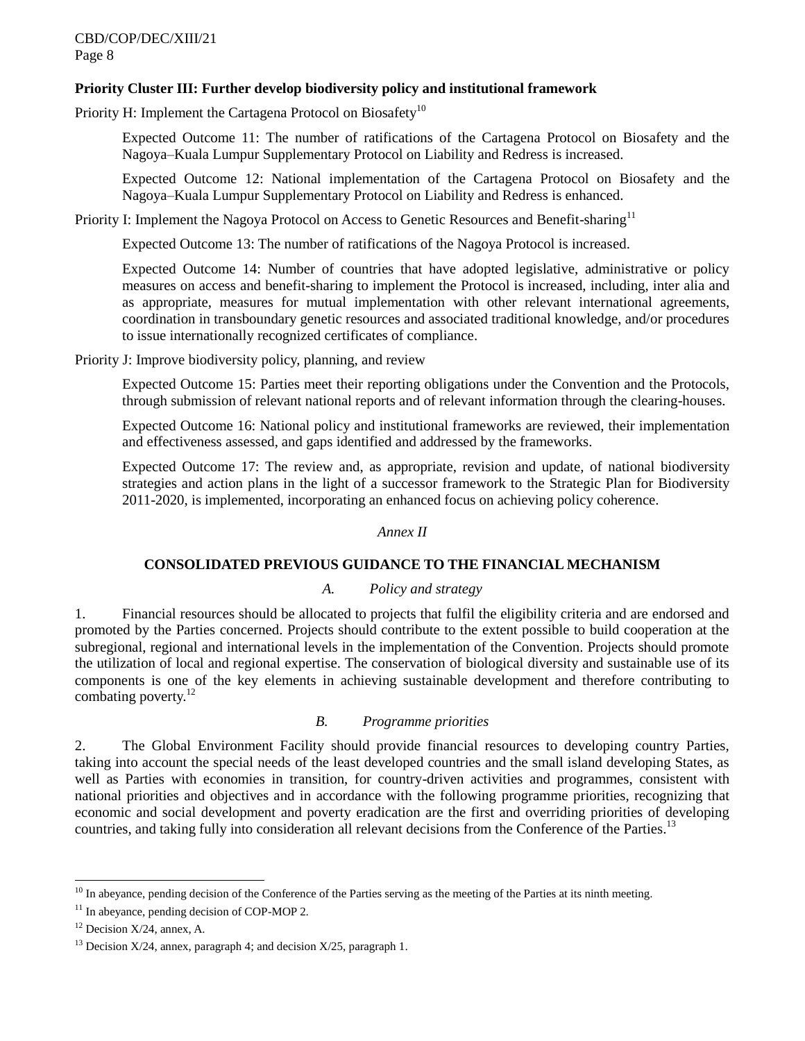#### **Priority Cluster III: Further develop biodiversity policy and institutional framework**

Priority H: Implement the Cartagena Protocol on Biosafety<sup>10</sup>

Expected Outcome 11: The number of ratifications of the Cartagena Protocol on Biosafety and the Nagoya–Kuala Lumpur Supplementary Protocol on Liability and Redress is increased.

Expected Outcome 12: National implementation of the Cartagena Protocol on Biosafety and the Nagoya–Kuala Lumpur Supplementary Protocol on Liability and Redress is enhanced.

Priority I: Implement the Nagoya Protocol on Access to Genetic Resources and Benefit-sharing<sup>11</sup>

Expected Outcome 13: The number of ratifications of the Nagoya Protocol is increased.

Expected Outcome 14: Number of countries that have adopted legislative, administrative or policy measures on access and benefit-sharing to implement the Protocol is increased, including, inter alia and as appropriate, measures for mutual implementation with other relevant international agreements, coordination in transboundary genetic resources and associated traditional knowledge, and/or procedures to issue internationally recognized certificates of compliance.

Priority J: Improve biodiversity policy, planning, and review

Expected Outcome 15: Parties meet their reporting obligations under the Convention and the Protocols, through submission of relevant national reports and of relevant information through the clearing-houses.

Expected Outcome 16: National policy and institutional frameworks are reviewed, their implementation and effectiveness assessed, and gaps identified and addressed by the frameworks.

Expected Outcome 17: The review and, as appropriate, revision and update, of national biodiversity strategies and action plans in the light of a successor framework to the Strategic Plan for Biodiversity 2011-2020, is implemented, incorporating an enhanced focus on achieving policy coherence.

#### *Annex II*

#### **CONSOLIDATED PREVIOUS GUIDANCE TO THE FINANCIAL MECHANISM**

#### *A. Policy and strategy*

1. Financial resources should be allocated to projects that fulfil the eligibility criteria and are endorsed and promoted by the Parties concerned. Projects should contribute to the extent possible to build cooperation at the subregional, regional and international levels in the implementation of the Convention. Projects should promote the utilization of local and regional expertise. The conservation of biological diversity and sustainable use of its components is one of the key elements in achieving sustainable development and therefore contributing to combating poverty. 12

#### *B. Programme priorities*

2. The Global Environment Facility should provide financial resources to developing country Parties, taking into account the special needs of the least developed countries and the small island developing States, as well as Parties with economies in transition, for country-driven activities and programmes, consistent with national priorities and objectives and in accordance with the following programme priorities, recognizing that economic and social development and poverty eradication are the first and overriding priorities of developing countries, and taking fully into consideration all relevant decisions from the Conference of the Parties.<sup>13</sup>

1

 $10$  In abeyance, pending decision of the Conference of the Parties serving as the meeting of the Parties at its ninth meeting.

<sup>&</sup>lt;sup>11</sup> In abeyance, pending decision of COP-MOP 2.

 $12$  Decision X/24, annex, A.

<sup>&</sup>lt;sup>13</sup> Decision X/24, annex, paragraph 4; and decision X/25, paragraph 1.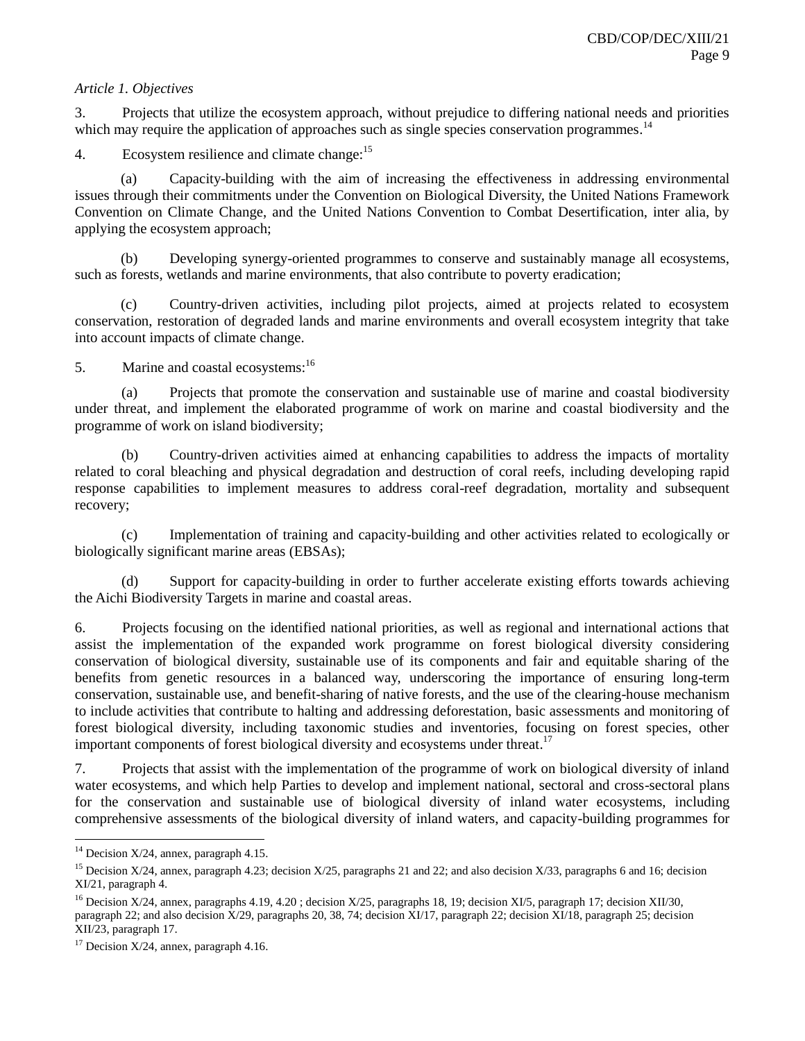#### *Article 1. Objectives*

3. Projects that utilize the ecosystem approach, without prejudice to differing national needs and priorities which may require the application of approaches such as single species conservation programmes.<sup>14</sup>

4. Ecosystem resilience and climate change:<sup>15</sup>

(a) Capacity-building with the aim of increasing the effectiveness in addressing environmental issues through their commitments under the Convention on Biological Diversity, the United Nations Framework Convention on Climate Change, and the United Nations Convention to Combat Desertification, inter alia, by applying the ecosystem approach;

(b) Developing synergy-oriented programmes to conserve and sustainably manage all ecosystems, such as forests, wetlands and marine environments, that also contribute to poverty eradication;

(c) Country-driven activities, including pilot projects, aimed at projects related to ecosystem conservation, restoration of degraded lands and marine environments and overall ecosystem integrity that take into account impacts of climate change.

5. Marine and coastal ecosystems:<sup>16</sup>

(a) Projects that promote the conservation and sustainable use of marine and coastal biodiversity under threat, and implement the elaborated programme of work on marine and coastal biodiversity and the programme of work on island biodiversity;

(b) Country-driven activities aimed at enhancing capabilities to address the impacts of mortality related to coral bleaching and physical degradation and destruction of coral reefs, including developing rapid response capabilities to implement measures to address coral-reef degradation, mortality and subsequent recovery;

(c) Implementation of training and capacity-building and other activities related to ecologically or biologically significant marine areas (EBSAs);

(d) Support for capacity-building in order to further accelerate existing efforts towards achieving the Aichi Biodiversity Targets in marine and coastal areas.

6. Projects focusing on the identified national priorities, as well as regional and international actions that assist the implementation of the expanded work programme on forest biological diversity considering conservation of biological diversity, sustainable use of its components and fair and equitable sharing of the benefits from genetic resources in a balanced way, underscoring the importance of ensuring long-term conservation, sustainable use, and benefit-sharing of native forests, and the use of the clearing-house mechanism to include activities that contribute to halting and addressing deforestation, basic assessments and monitoring of forest biological diversity, including taxonomic studies and inventories, focusing on forest species, other important components of forest biological diversity and ecosystems under threat.<sup>17</sup>

7. Projects that assist with the implementation of the programme of work on biological diversity of inland water ecosystems, and which help Parties to develop and implement national, sectoral and cross-sectoral plans for the conservation and sustainable use of biological diversity of inland water ecosystems, including comprehensive assessments of the biological diversity of inland waters, and capacity-building programmes for

 $14$  Decision X/24, annex, paragraph 4.15.

<sup>&</sup>lt;sup>15</sup> Decision X/24, annex, paragraph 4.23; decision X/25, paragraphs 21 and 22; and also decision X/33, paragraphs 6 and 16; decision XI/21, paragraph 4.

<sup>&</sup>lt;sup>16</sup> Decision X/24, annex, paragraphs 4.19, 4.20; decision X/25, paragraphs 18, 19; decision XI/5, paragraph 17; decision XII/30, paragraph 22; and also decision X/29, paragraphs 20, 38, 74; decision XI/17, paragraph 22; decision XI/18, paragraph 25; decision XII/23, paragraph 17.

<sup>&</sup>lt;sup>17</sup> Decision X/24, annex, paragraph 4.16.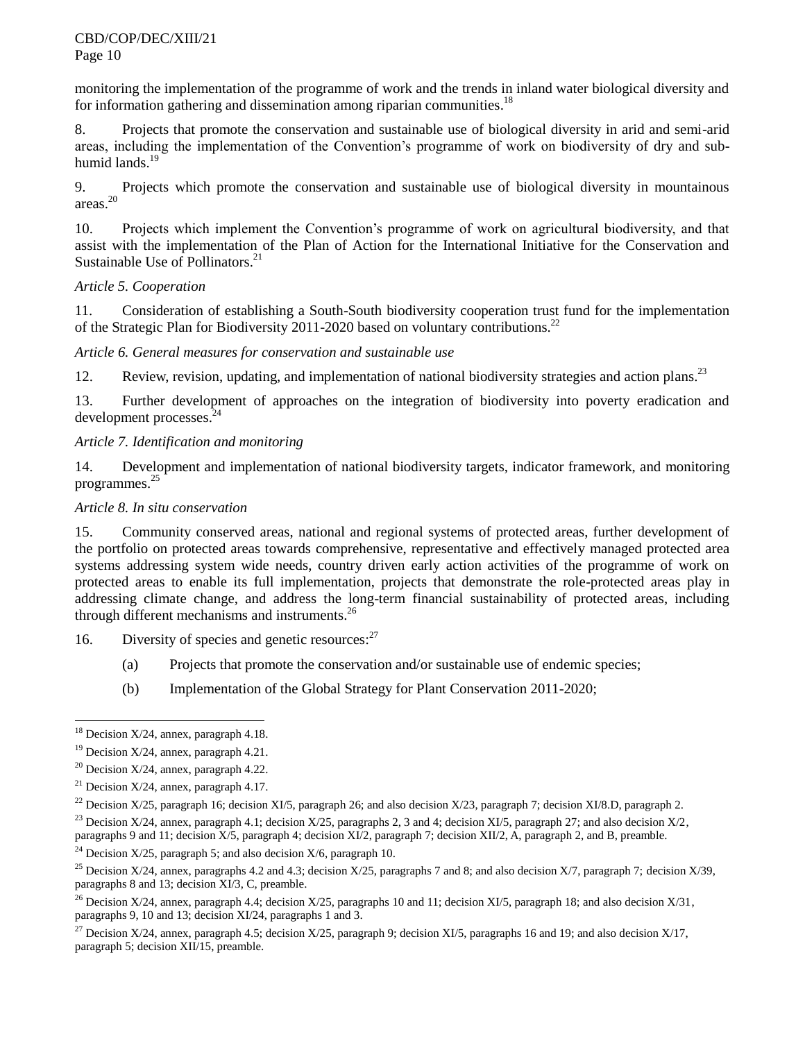CBD/COP/DEC/XIII/21 Page 10

monitoring the implementation of the programme of work and the trends in inland water biological diversity and for information gathering and dissemination among riparian communities.<sup>18</sup>

8. Projects that promote the conservation and sustainable use of biological diversity in arid and semi-arid areas, including the implementation of the Convention's programme of work on biodiversity of dry and subhumid lands. 19

9. Projects which promote the conservation and sustainable use of biological diversity in mountainous areas.<sup>20</sup>

10. Projects which implement the Convention's programme of work on agricultural biodiversity, and that assist with the implementation of the Plan of Action for the International Initiative for the Conservation and Sustainable Use of Pollinators.<sup>21</sup>

#### *Article 5. Cooperation*

11. Consideration of establishing a South-South biodiversity cooperation trust fund for the implementation of the Strategic Plan for Biodiversity 2011-2020 based on voluntary contributions.<sup>22</sup>

*Article 6. General measures for conservation and sustainable use*

12. Review, revision, updating, and implementation of national biodiversity strategies and action plans.<sup>23</sup>

13. Further development of approaches on the integration of biodiversity into poverty eradication and development processes. 24

#### *Article 7. Identification and monitoring*

14. Development and implementation of national biodiversity targets, indicator framework, and monitoring programmes. 25

#### *Article 8. In situ conservation*

15. Community conserved areas, national and regional systems of protected areas, further development of the portfolio on protected areas towards comprehensive, representative and effectively managed protected area systems addressing system wide needs, country driven early action activities of the programme of work on protected areas to enable its full implementation, projects that demonstrate the role-protected areas play in addressing climate change, and address the long-term financial sustainability of protected areas, including through different mechanisms and instruments.<sup>26</sup>

16. Diversity of species and genetic resources:<sup>27</sup>

- (a) Projects that promote the conservation and/or sustainable use of endemic species;
- (b) Implementation of the Global Strategy for Plant Conservation 2011-2020;

1

<sup>24</sup> Decision X/25, paragraph 5; and also decision X/6, paragraph 10.

<sup>26</sup> Decision X/24, annex, paragraph 4.4; decision X/25, paragraphs 10 and 11; decision XI/5, paragraph 18; and also decision X/31, paragraphs 9, 10 and 13; decision XI/24, paragraphs 1 and 3.

<sup>27</sup> Decision X/24, annex, paragraph 4.5; decision X/25, paragraph 9; decision XI/5, paragraphs 16 and 19; and also decision X/17, paragraph 5; decision XII/15, preamble.

 $18$  Decision X/24, annex, paragraph 4.18.

<sup>&</sup>lt;sup>19</sup> Decision X/24, annex, paragraph 4.21.

<sup>&</sup>lt;sup>20</sup> Decision X/24, annex, paragraph 4.22.

<sup>&</sup>lt;sup>21</sup> Decision X/24, annex, paragraph 4.17.

<sup>&</sup>lt;sup>22</sup> Decision X/25, paragraph 16; decision XI/5, paragraph 26; and also decision X/23, paragraph 7; decision XI/8.D, paragraph 2.

<sup>&</sup>lt;sup>23</sup> Decision X/24, annex, paragraph 4.1; decision X/25, paragraphs 2, 3 and 4; decision XI/5, paragraph 27; and also decision X/2, paragraphs 9 and 11; decision X/5, paragraph 4; decision XI/2, paragraph 7; decision XII/2, A, paragraph 2, and B, preamble.

<sup>&</sup>lt;sup>25</sup> Decision X/24, annex, paragraphs 4.2 and 4.3; decision X/25, paragraphs 7 and 8; and also decision X/7, paragraph 7; decision X/39, paragraphs 8 and 13; decision XI/3, C, preamble.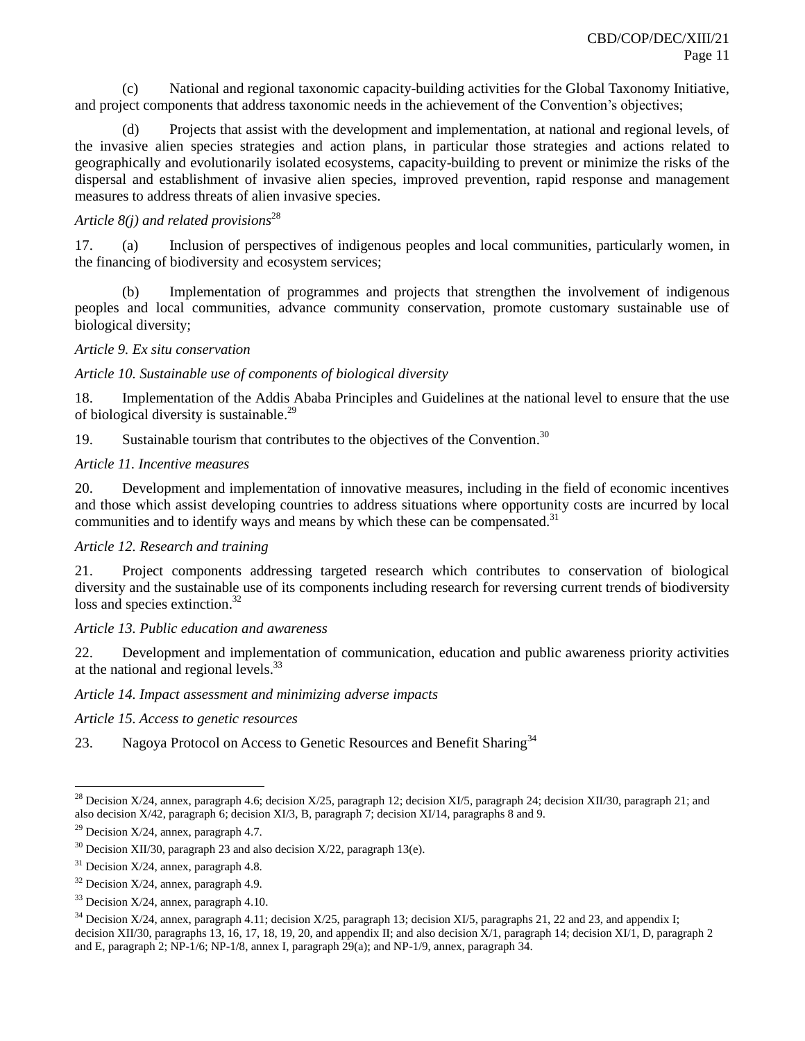(c) National and regional taxonomic capacity-building activities for the Global Taxonomy Initiative, and project components that address taxonomic needs in the achievement of the Convention's objectives;

(d) Projects that assist with the development and implementation, at national and regional levels, of the invasive alien species strategies and action plans, in particular those strategies and actions related to geographically and evolutionarily isolated ecosystems, capacity-building to prevent or minimize the risks of the dispersal and establishment of invasive alien species, improved prevention, rapid response and management measures to address threats of alien invasive species.

## *Article 8(j) and related provisions*<sup>28</sup>

17. (a) Inclusion of perspectives of indigenous peoples and local communities, particularly women, in the financing of biodiversity and ecosystem services;

(b) Implementation of programmes and projects that strengthen the involvement of indigenous peoples and local communities, advance community conservation, promote customary sustainable use of biological diversity;

#### *Article 9. Ex situ conservation*

#### *Article 10. Sustainable use of components of biological diversity*

18. Implementation of the Addis Ababa Principles and Guidelines at the national level to ensure that the use of biological diversity is sustainable.<sup>29</sup>

19. Sustainable tourism that contributes to the objectives of the Convention.<sup>30</sup>

#### *Article 11. Incentive measures*

20. Development and implementation of innovative measures, including in the field of economic incentives and those which assist developing countries to address situations where opportunity costs are incurred by local communities and to identify ways and means by which these can be compensated.<sup>31</sup>

#### *Article 12. Research and training*

21. Project components addressing targeted research which contributes to conservation of biological diversity and the sustainable use of its components including research for reversing current trends of biodiversity loss and species extinction.<sup>32</sup>

#### *Article 13. Public education and awareness*

22. Development and implementation of communication, education and public awareness priority activities at the national and regional levels.<sup>33</sup>

*Article 14. Impact assessment and minimizing adverse impacts*

*Article 15. Access to genetic resources*

23. Nagoya Protocol on Access to Genetic Resources and Benefit Sharing<sup>34</sup>

<sup>&</sup>lt;sup>28</sup> Decision X/24, annex, paragraph 4.6; decision X/25, paragraph 12; decision XI/5, paragraph 24; decision XII/30, paragraph 21; and also decision X/42, paragraph 6; decision XI/3, B, paragraph 7; decision XI/14, paragraphs 8 and 9.

<sup>&</sup>lt;sup>29</sup> Decision X/24, annex, paragraph 4.7.

 $30$  Decision XII/30, paragraph 23 and also decision X/22, paragraph 13(e).

 $31$  Decision X/24, annex, paragraph 4.8.

 $32$  Decision X/24, annex, paragraph 4.9.

 $33$  Decision X/24, annex, paragraph 4.10.

 $34$  Decision X/24, annex, paragraph 4.11; decision X/25, paragraph 13; decision XI/5, paragraphs 21, 22 and 23, and appendix I; decision XII/30, paragraphs 13, 16, 17, 18, 19, 20, and appendix II; and also decision  $X/1$ , paragraph 14; decision XI/1, D, paragraph 2 and E, paragraph 2; NP-1/6; NP-1/8, annex I, paragraph 29(a); and NP-1/9, annex, paragraph 34.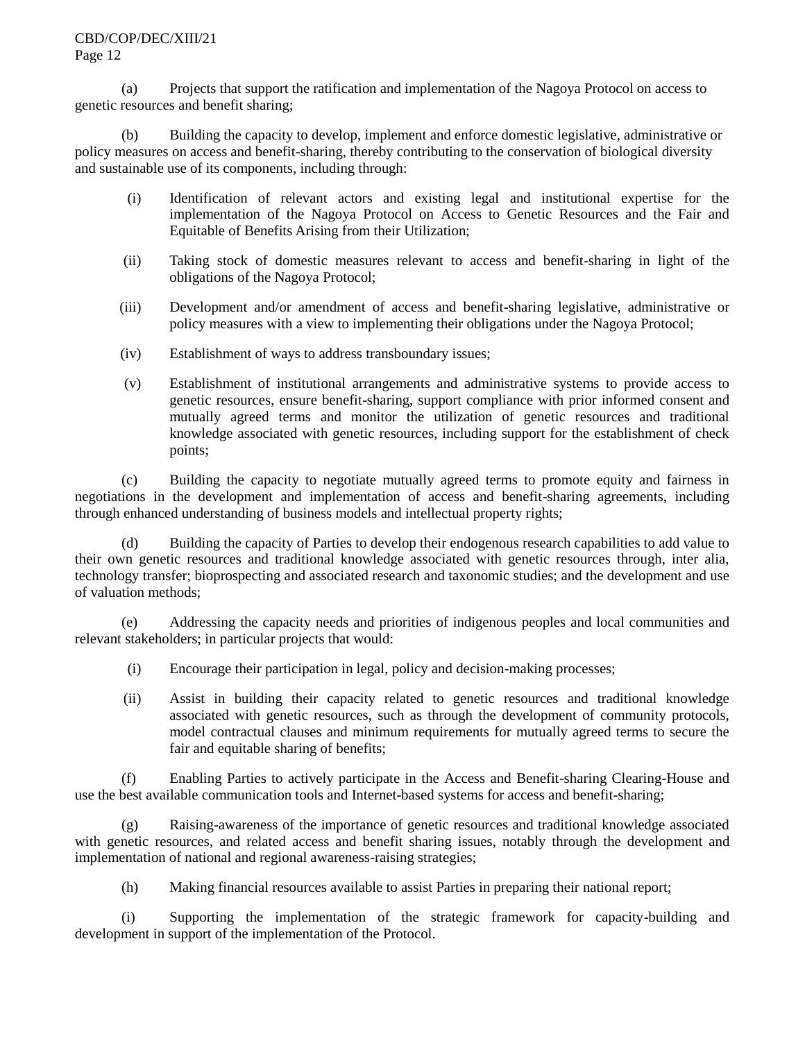## CBD/COP/DEC/XIII/21

Page 12

(a) Projects that support the ratification and implementation of the Nagoya Protocol on access to genetic resources and benefit sharing;

(b) Building the capacity to develop, implement and enforce domestic legislative, administrative or policy measures on access and benefit-sharing, thereby contributing to the conservation of biological diversity and sustainable use of its components, including through:

- (i) Identification of relevant actors and existing legal and institutional expertise for the implementation of the Nagoya Protocol on Access to Genetic Resources and the Fair and Equitable of Benefits Arising from their Utilization;
- (ii) Taking stock of domestic measures relevant to access and benefit-sharing in light of the obligations of the Nagoya Protocol;
- (iii) Development and/or amendment of access and benefit-sharing legislative, administrative or policy measures with a view to implementing their obligations under the Nagoya Protocol;
- (iv) Establishment of ways to address transboundary issues;
- (v) Establishment of institutional arrangements and administrative systems to provide access to genetic resources, ensure benefit-sharing, support compliance with prior informed consent and mutually agreed terms and monitor the utilization of genetic resources and traditional knowledge associated with genetic resources, including support for the establishment of check points;

(c) Building the capacity to negotiate mutually agreed terms to promote equity and fairness in negotiations in the development and implementation of access and benefit-sharing agreements, including through enhanced understanding of business models and intellectual property rights;

(d) Building the capacity of Parties to develop their endogenous research capabilities to add value to their own genetic resources and traditional knowledge associated with genetic resources through, inter alia, technology transfer; bioprospecting and associated research and taxonomic studies; and the development and use of valuation methods;

(e) Addressing the capacity needs and priorities of indigenous peoples and local communities and relevant stakeholders; in particular projects that would:

- (i) Encourage their participation in legal, policy and decision-making processes;
- (ii) Assist in building their capacity related to genetic resources and traditional knowledge associated with genetic resources, such as through the development of community protocols, model contractual clauses and minimum requirements for mutually agreed terms to secure the fair and equitable sharing of benefits;

(f) Enabling Parties to actively participate in the Access and Benefit-sharing Clearing-House and use the best available communication tools and Internet-based systems for access and benefit-sharing;

(g) Raising-awareness of the importance of genetic resources and traditional knowledge associated with genetic resources, and related access and benefit sharing issues, notably through the development and implementation of national and regional awareness-raising strategies;

(h) Making financial resources available to assist Parties in preparing their national report;

(i) Supporting the implementation of the strategic framework for capacity-building and development in support of the implementation of the Protocol.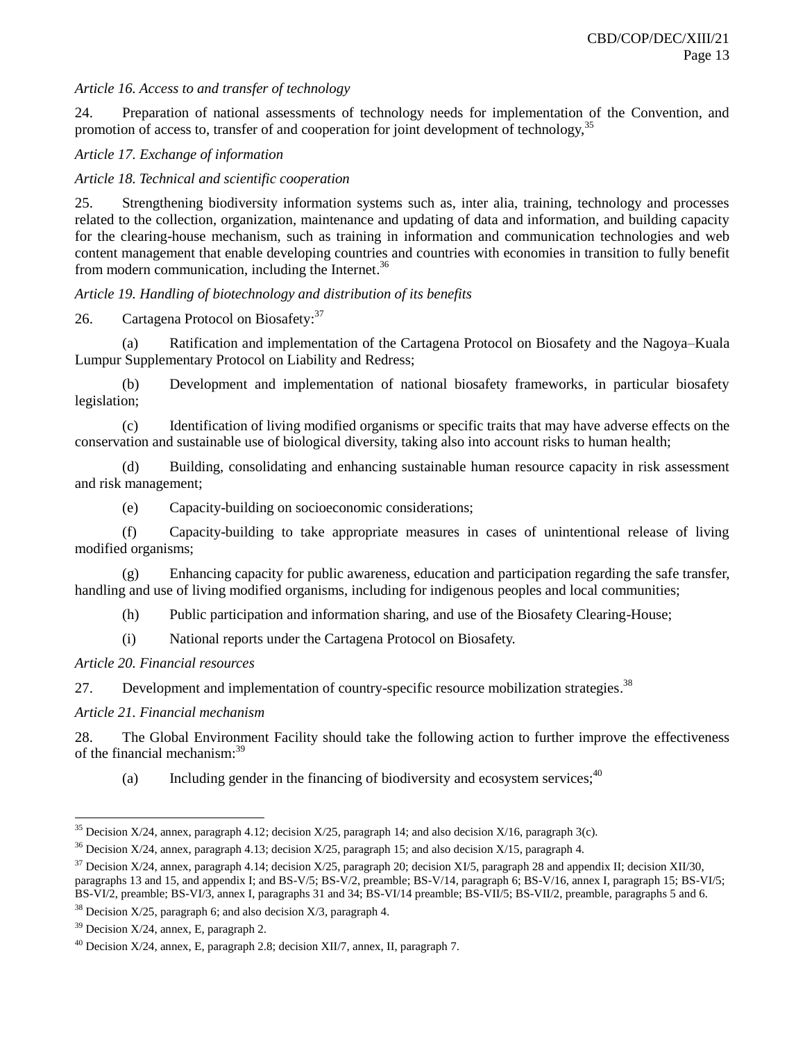*Article 16. Access to and transfer of technology*

24. Preparation of national assessments of technology needs for implementation of the Convention, and promotion of access to, transfer of and cooperation for joint development of technology,<sup>35</sup>

*Article 17. Exchange of information*

*Article 18. Technical and scientific cooperation*

25. Strengthening biodiversity information systems such as, inter alia, training, technology and processes related to the collection, organization, maintenance and updating of data and information, and building capacity for the clearing-house mechanism, such as training in information and communication technologies and web content management that enable developing countries and countries with economies in transition to fully benefit from modern communication, including the Internet.<sup>36</sup>

*Article 19. Handling of biotechnology and distribution of its benefits*

26. Cartagena Protocol on Biosafety:<sup>37</sup>

(a) Ratification and implementation of the Cartagena Protocol on Biosafety and the Nagoya–Kuala Lumpur Supplementary Protocol on Liability and Redress;

(b) Development and implementation of national biosafety frameworks, in particular biosafety legislation;

(c) Identification of living modified organisms or specific traits that may have adverse effects on the conservation and sustainable use of biological diversity, taking also into account risks to human health;

(d) Building, consolidating and enhancing sustainable human resource capacity in risk assessment and risk management;

(e) Capacity-building on socioeconomic considerations;

(f) Capacity-building to take appropriate measures in cases of unintentional release of living modified organisms;

(g) Enhancing capacity for public awareness, education and participation regarding the safe transfer, handling and use of living modified organisms, including for indigenous peoples and local communities;

(h) Public participation and information sharing, and use of the Biosafety Clearing-House;

(i) National reports under the Cartagena Protocol on Biosafety.

*Article 20. Financial resources*

27. Development and implementation of country-specific resource mobilization strategies.<sup>38</sup>

*Article 21. Financial mechanism*

<u>.</u>

28. The Global Environment Facility should take the following action to further improve the effectiveness of the financial mechanism:<sup>39</sup>

(a) Including gender in the financing of biodiversity and ecosystem services; $40$ 

<sup>&</sup>lt;sup>35</sup> Decision X/24, annex, paragraph 4.12; decision X/25, paragraph 14; and also decision X/16, paragraph 3(c).

<sup>&</sup>lt;sup>36</sup> Decision X/24, annex, paragraph 4.13; decision X/25, paragraph 15; and also decision X/15, paragraph 4.

 $37$  Decision X/24, annex, paragraph 4.14; decision X/25, paragraph 20; decision XI/5, paragraph 28 and appendix II; decision XII/30, paragraphs 13 and 15, and appendix I; and BS-V/5; BS-V/2, preamble; BS-V/14, paragraph 6; BS-V/16, annex I, paragraph 15; BS-VI/5; BS-VI/2, preamble; BS-VI/3, annex I, paragraphs 31 and 34; BS-VI/14 preamble; BS-VII/5; BS-VII/2, preamble, paragraphs 5 and 6.

 $38$  Decision X/25, paragraph 6; and also decision X/3, paragraph 4.

 $39$  Decision X/24, annex, E, paragraph 2.

 $^{40}$  Decision X/24, annex, E, paragraph 2.8; decision XII/7, annex, II, paragraph 7.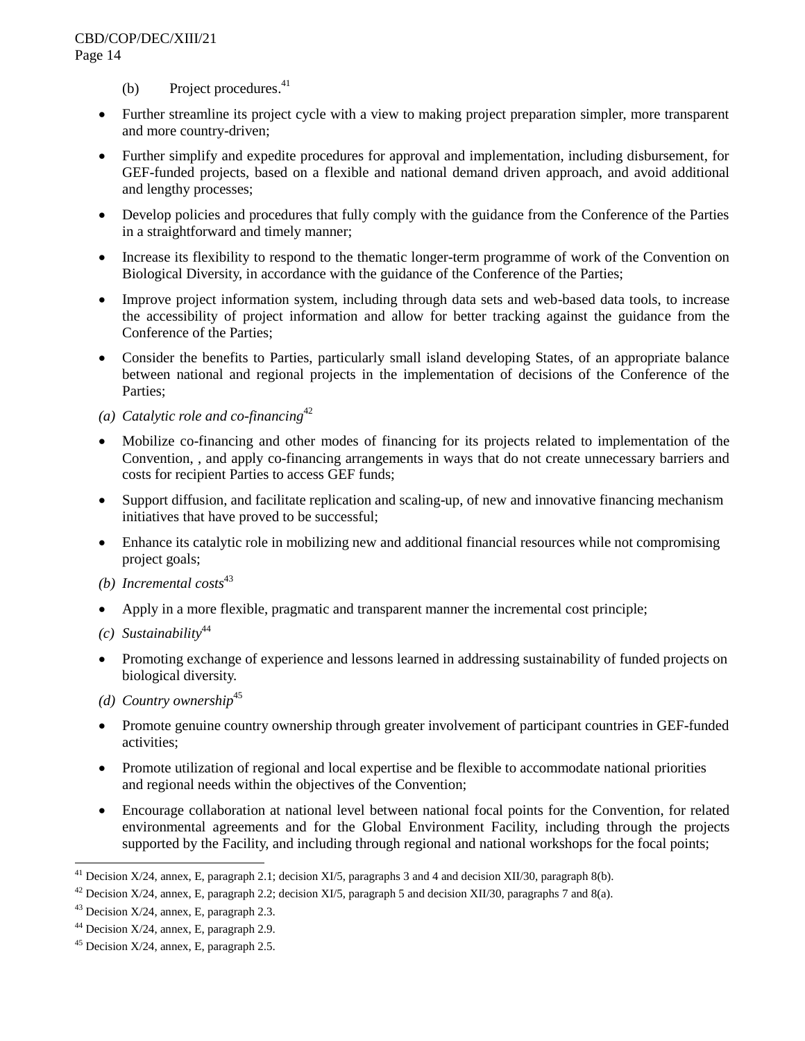- (b) Project procedures.<sup>41</sup>
- Further streamline its project cycle with a view to making project preparation simpler, more transparent and more country-driven;
- Further simplify and expedite procedures for approval and implementation, including disbursement, for GEF-funded projects, based on a flexible and national demand driven approach, and avoid additional and lengthy processes;
- Develop policies and procedures that fully comply with the guidance from the Conference of the Parties in a straightforward and timely manner;
- Increase its flexibility to respond to the thematic longer-term programme of work of the Convention on Biological Diversity, in accordance with the guidance of the Conference of the Parties;
- Improve project information system, including through data sets and web-based data tools, to increase the accessibility of project information and allow for better tracking against the guidance from the Conference of the Parties;
- Consider the benefits to Parties, particularly small island developing States, of an appropriate balance between national and regional projects in the implementation of decisions of the Conference of the Parties;
- *(a) Catalytic role and co-financing*<sup>42</sup>
- Mobilize co-financing and other modes of financing for its projects related to implementation of the Convention, , and apply co-financing arrangements in ways that do not create unnecessary barriers and costs for recipient Parties to access GEF funds;
- Support diffusion, and facilitate replication and scaling-up, of new and innovative financing mechanism initiatives that have proved to be successful;
- Enhance its catalytic role in mobilizing new and additional financial resources while not compromising project goals;
- *(b) Incremental costs*<sup>43</sup>
- Apply in a more flexible, pragmatic and transparent manner the incremental cost principle;
- *(c) Sustainability*<sup>44</sup>
- Promoting exchange of experience and lessons learned in addressing sustainability of funded projects on biological diversity.
- *(d) Country ownership*<sup>45</sup>
- Promote genuine country ownership through greater involvement of participant countries in GEF-funded activities;
- Promote utilization of regional and local expertise and be flexible to accommodate national priorities and regional needs within the objectives of the Convention;
- Encourage collaboration at national level between national focal points for the Convention, for related environmental agreements and for the Global Environment Facility, including through the projects supported by the Facility, and including through regional and national workshops for the focal points;

<sup>41</sup> Decision X/24, annex, E, paragraph 2.1; decision XI/5, paragraphs 3 and 4 and decision XII/30, paragraph 8(b).

<sup>&</sup>lt;sup>42</sup> Decision X/24, annex, E, paragraph 2.2; decision XI/5, paragraph 5 and decision XII/30, paragraphs 7 and 8(a).

 $43$  Decision X/24, annex, E, paragraph 2.3.

 $44$  Decision X/24, annex, E, paragraph 2.9.

 $45$  Decision X/24, annex, E, paragraph 2.5.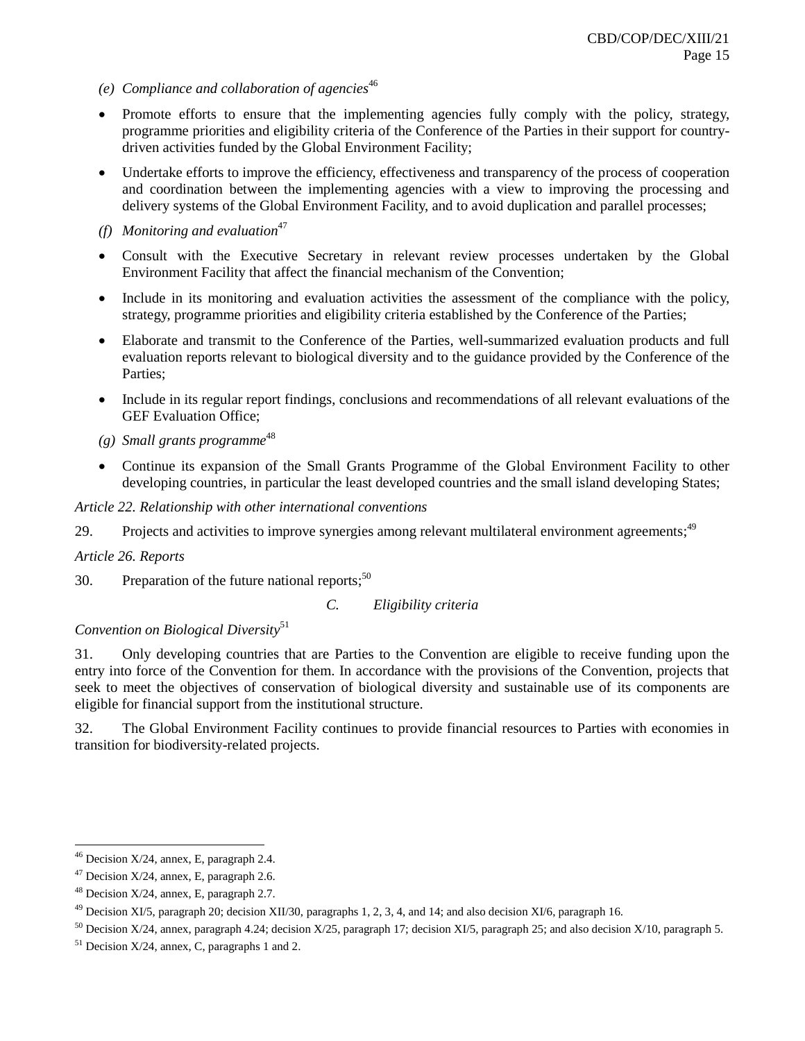- *(e) Compliance and collaboration of agencies*<sup>46</sup>
- Promote efforts to ensure that the implementing agencies fully comply with the policy, strategy, programme priorities and eligibility criteria of the Conference of the Parties in their support for countrydriven activities funded by the Global Environment Facility;
- Undertake efforts to improve the efficiency, effectiveness and transparency of the process of cooperation and coordination between the implementing agencies with a view to improving the processing and delivery systems of the Global Environment Facility, and to avoid duplication and parallel processes;
- *(f) Monitoring and evaluation*<sup>47</sup>
- Consult with the Executive Secretary in relevant review processes undertaken by the Global Environment Facility that affect the financial mechanism of the Convention;
- Include in its monitoring and evaluation activities the assessment of the compliance with the policy, strategy, programme priorities and eligibility criteria established by the Conference of the Parties;
- Elaborate and transmit to the Conference of the Parties, well-summarized evaluation products and full evaluation reports relevant to biological diversity and to the guidance provided by the Conference of the Parties;
- Include in its regular report findings, conclusions and recommendations of all relevant evaluations of the GEF Evaluation Office;
- *(g) Small grants programme*<sup>48</sup>
- Continue its expansion of the Small Grants Programme of the Global Environment Facility to other developing countries, in particular the least developed countries and the small island developing States;

*Article 22. Relationship with other international conventions*

29. Projects and activities to improve synergies among relevant multilateral environment agreements;<sup>49</sup>

#### *Article 26. Reports*

30. Preparation of the future national reports;<sup>50</sup>

#### *C. Eligibility criteria*

#### *Convention on Biological Diversity*<sup>51</sup>

31. Only developing countries that are Parties to the Convention are eligible to receive funding upon the entry into force of the Convention for them. In accordance with the provisions of the Convention, projects that seek to meet the objectives of conservation of biological diversity and sustainable use of its components are eligible for financial support from the institutional structure.

32. The Global Environment Facility continues to provide financial resources to Parties with economies in transition for biodiversity-related projects.

1

 $46$  Decision X/24, annex, E, paragraph 2.4.

 $47$  Decision X/24, annex, E, paragraph 2.6.

 $48$  Decision X/24, annex, E, paragraph 2.7.

<sup>&</sup>lt;sup>49</sup> Decision XI/5, paragraph 20; decision XII/30, paragraphs 1, 2, 3, 4, and 14; and also decision XI/6, paragraph 16.

<sup>&</sup>lt;sup>50</sup> Decision X/24, annex, paragraph 4.24; decision X/25, paragraph 17; decision XI/5, paragraph 25; and also decision X/10, paragraph 5.

 $51$  Decision X/24, annex, C, paragraphs 1 and 2.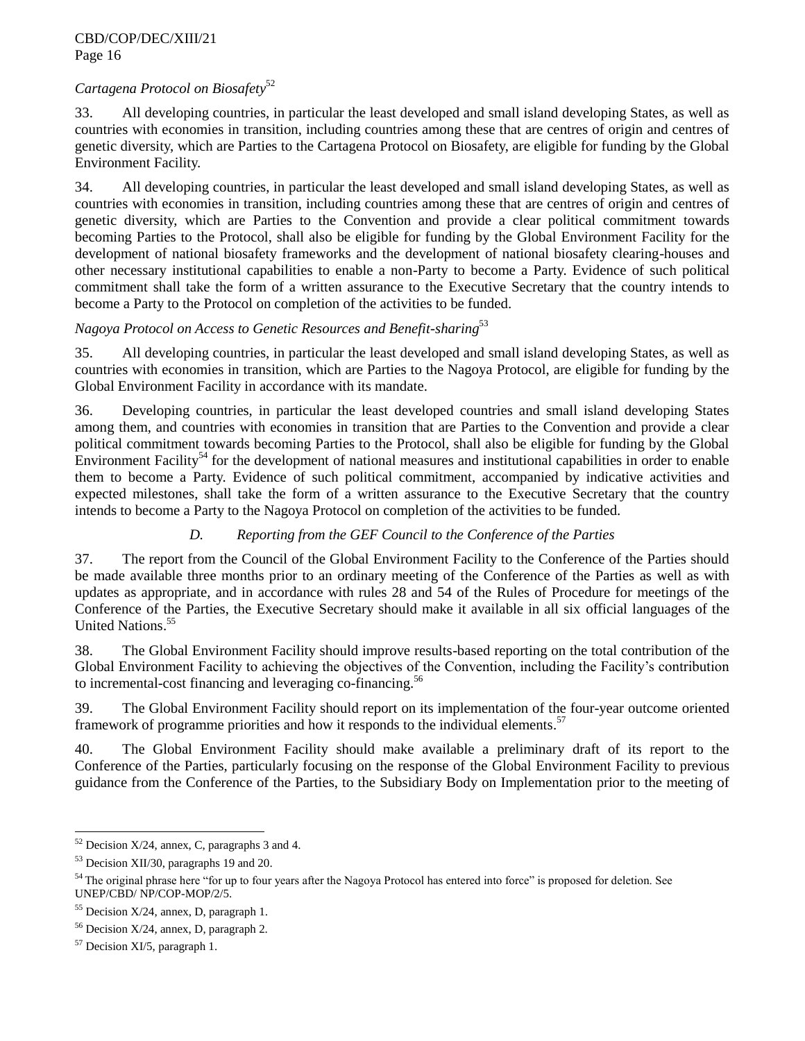CBD/COP/DEC/XIII/21 Page 16

#### *Cartagena Protocol on Biosafety*<sup>52</sup>

33. All developing countries, in particular the least developed and small island developing States, as well as countries with economies in transition, including countries among these that are centres of origin and centres of genetic diversity, which are Parties to the Cartagena Protocol on Biosafety, are eligible for funding by the Global Environment Facility.

34. All developing countries, in particular the least developed and small island developing States, as well as countries with economies in transition, including countries among these that are centres of origin and centres of genetic diversity, which are Parties to the Convention and provide a clear political commitment towards becoming Parties to the Protocol, shall also be eligible for funding by the Global Environment Facility for the development of national biosafety frameworks and the development of national biosafety clearing-houses and other necessary institutional capabilities to enable a non-Party to become a Party. Evidence of such political commitment shall take the form of a written assurance to the Executive Secretary that the country intends to become a Party to the Protocol on completion of the activities to be funded.

## *Nagoya Protocol on Access to Genetic Resources and Benefit-sharing*<sup>53</sup>

35. All developing countries, in particular the least developed and small island developing States, as well as countries with economies in transition, which are Parties to the Nagoya Protocol, are eligible for funding by the Global Environment Facility in accordance with its mandate.

36. Developing countries, in particular the least developed countries and small island developing States among them, and countries with economies in transition that are Parties to the Convention and provide a clear political commitment towards becoming Parties to the Protocol, shall also be eligible for funding by the Global Environment Facility<sup>54</sup> for the development of national measures and institutional capabilities in order to enable them to become a Party. Evidence of such political commitment, accompanied by indicative activities and expected milestones, shall take the form of a written assurance to the Executive Secretary that the country intends to become a Party to the Nagoya Protocol on completion of the activities to be funded.

## *D. Reporting from the GEF Council to the Conference of the Parties*

37. The report from the Council of the Global Environment Facility to the Conference of the Parties should be made available three months prior to an ordinary meeting of the Conference of the Parties as well as with updates as appropriate, and in accordance with rules 28 and 54 of the Rules of Procedure for meetings of the Conference of the Parties, the Executive Secretary should make it available in all six official languages of the United Nations. 55

38. The Global Environment Facility should improve results-based reporting on the total contribution of the Global Environment Facility to achieving the objectives of the Convention, including the Facility's contribution to incremental-cost financing and leveraging co-financing.<sup>56</sup>

39. The Global Environment Facility should report on its implementation of the four-year outcome oriented framework of programme priorities and how it responds to the individual elements.<sup>57</sup>

40. The Global Environment Facility should make available a preliminary draft of its report to the Conference of the Parties, particularly focusing on the response of the Global Environment Facility to previous guidance from the Conference of the Parties, to the Subsidiary Body on Implementation prior to the meeting of

 $52$  Decision X/24, annex, C, paragraphs 3 and 4.

<sup>53</sup> Decision XII/30, paragraphs 19 and 20.

<sup>&</sup>lt;sup>54</sup> The original phrase here "for up to four years after the Nagoya Protocol has entered into force" is proposed for deletion. See UNEP/CBD/ NP/COP-MOP/2/5.

<sup>55</sup> Decision X/24, annex, D, paragraph 1.

 $56$  Decision X/24, annex, D, paragraph 2.

<sup>57</sup> Decision XI/5, paragraph 1.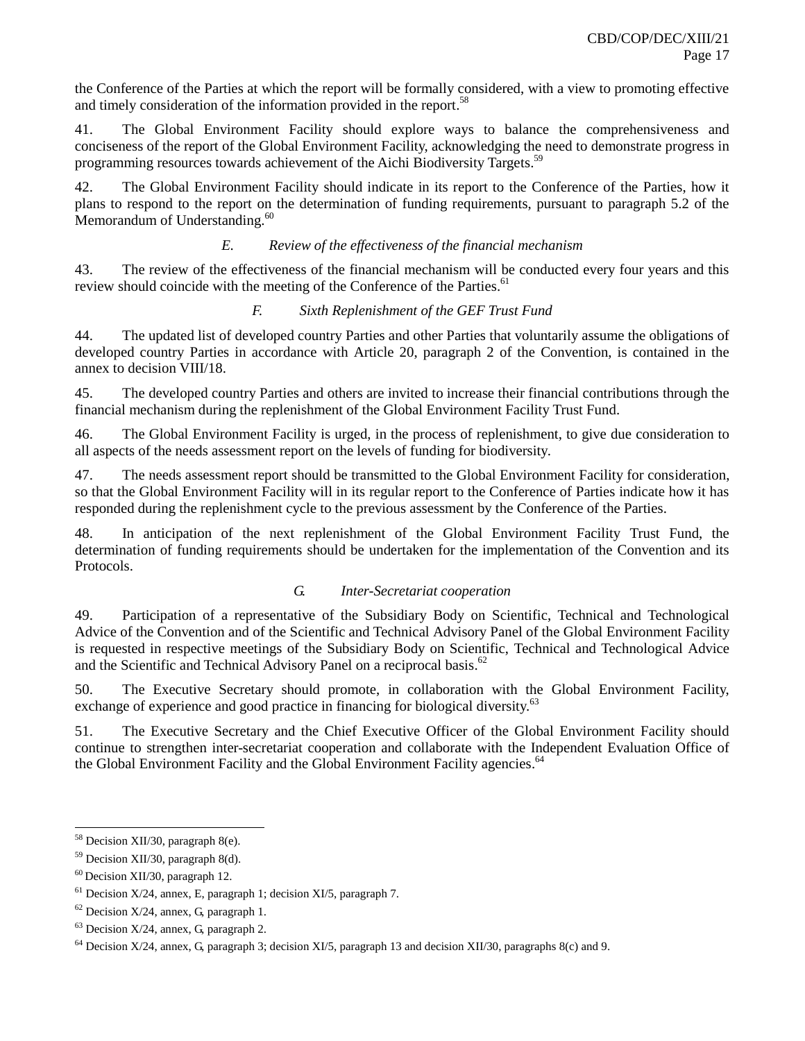the Conference of the Parties at which the report will be formally considered, with a view to promoting effective and timely consideration of the information provided in the report.<sup>58</sup>

41. The Global Environment Facility should explore ways to balance the comprehensiveness and conciseness of the report of the Global Environment Facility, acknowledging the need to demonstrate progress in programming resources towards achievement of the Aichi Biodiversity Targets.<sup>59</sup>

42. The Global Environment Facility should indicate in its report to the Conference of the Parties, how it plans to respond to the report on the determination of funding requirements, pursuant to paragraph 5.2 of the Memorandum of Understanding.<sup>60</sup>

## *E. Review of the effectiveness of the financial mechanism*

43. The review of the effectiveness of the financial mechanism will be conducted every four years and this review should coincide with the meeting of the Conference of the Parties.<sup>61</sup>

#### *F. Sixth Replenishment of the GEF Trust Fund*

44. The updated list of developed country Parties and other Parties that voluntarily assume the obligations of developed country Parties in accordance with Article 20, paragraph 2 of the Convention, is contained in the annex to decision VIII/18.

45. The developed country Parties and others are invited to increase their financial contributions through the financial mechanism during the replenishment of the Global Environment Facility Trust Fund.

46. The Global Environment Facility is urged, in the process of replenishment, to give due consideration to all aspects of the needs assessment report on the levels of funding for biodiversity.

47. The needs assessment report should be transmitted to the Global Environment Facility for consideration, so that the Global Environment Facility will in its regular report to the Conference of Parties indicate how it has responded during the replenishment cycle to the previous assessment by the Conference of the Parties.

48. In anticipation of the next replenishment of the Global Environment Facility Trust Fund, the determination of funding requirements should be undertaken for the implementation of the Convention and its Protocols.

## *G. Inter-Secretariat cooperation*

49. Participation of a representative of the Subsidiary Body on Scientific, Technical and Technological Advice of the Convention and of the Scientific and Technical Advisory Panel of the Global Environment Facility is requested in respective meetings of the Subsidiary Body on Scientific, Technical and Technological Advice and the Scientific and Technical Advisory Panel on a reciprocal basis.<sup>62</sup>

50. The Executive Secretary should promote, in collaboration with the Global Environment Facility, exchange of experience and good practice in financing for biological diversity.<sup>63</sup>

51. The Executive Secretary and the Chief Executive Officer of the Global Environment Facility should continue to strengthen inter-secretariat cooperation and collaborate with the Independent Evaluation Office of the Global Environment Facility and the Global Environment Facility agencies.<sup>64</sup>

<sup>&</sup>lt;sup>58</sup> Decision XII/30, paragraph 8(e).

<sup>59</sup> Decision XII/30, paragraph 8(d).

<sup>60</sup> Decision XII/30, paragraph 12.

 $<sup>61</sup>$  Decision X/24, annex, E, paragraph 1; decision XI/5, paragraph 7.</sup>

 $62$  Decision X/24, annex, G, paragraph 1.

 $63$  Decision X/24, annex, G, paragraph 2.

<sup>&</sup>lt;sup>64</sup> Decision X/24, annex, G, paragraph 3; decision XI/5, paragraph 13 and decision XII/30, paragraphs 8(c) and 9.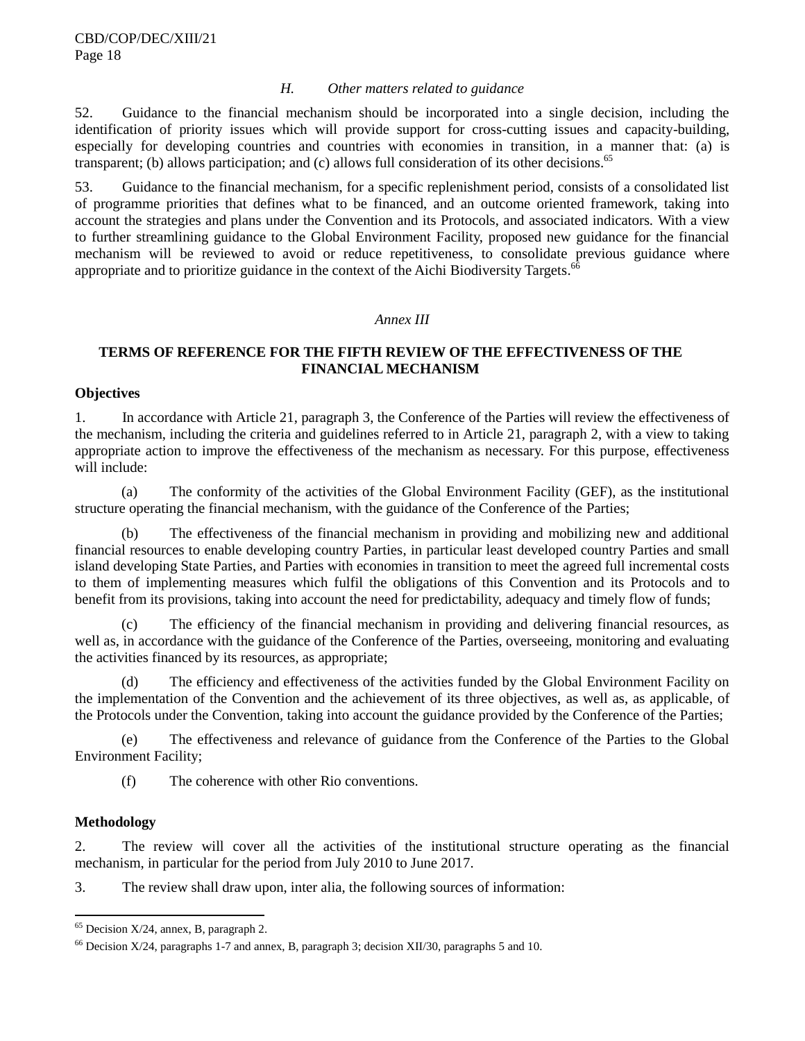#### *H. Other matters related to guidance*

52. Guidance to the financial mechanism should be incorporated into a single decision, including the identification of priority issues which will provide support for cross-cutting issues and capacity-building, especially for developing countries and countries with economies in transition, in a manner that: (a) is transparent; (b) allows participation; and (c) allows full consideration of its other decisions.<sup>65</sup>

53. Guidance to the financial mechanism, for a specific replenishment period, consists of a consolidated list of programme priorities that defines what to be financed, and an outcome oriented framework, taking into account the strategies and plans under the Convention and its Protocols, and associated indicators. With a view to further streamlining guidance to the Global Environment Facility, proposed new guidance for the financial mechanism will be reviewed to avoid or reduce repetitiveness, to consolidate previous guidance where appropriate and to prioritize guidance in the context of the Aichi Biodiversity Targets.<sup>66</sup>

#### *Annex III*

#### **TERMS OF REFERENCE FOR THE FIFTH REVIEW OF THE EFFECTIVENESS OF THE FINANCIAL MECHANISM**

#### **Objectives**

1. In accordance with Article 21, paragraph 3, the Conference of the Parties will review the effectiveness of the mechanism, including the criteria and guidelines referred to in Article 21, paragraph 2, with a view to taking appropriate action to improve the effectiveness of the mechanism as necessary. For this purpose, effectiveness will include:

(a) The conformity of the activities of the Global Environment Facility (GEF), as the institutional structure operating the financial mechanism, with the guidance of the Conference of the Parties;

(b) The effectiveness of the financial mechanism in providing and mobilizing new and additional financial resources to enable developing country Parties, in particular least developed country Parties and small island developing State Parties, and Parties with economies in transition to meet the agreed full incremental costs to them of implementing measures which fulfil the obligations of this Convention and its Protocols and to benefit from its provisions, taking into account the need for predictability, adequacy and timely flow of funds;

(c) The efficiency of the financial mechanism in providing and delivering financial resources, as well as, in accordance with the guidance of the Conference of the Parties, overseeing, monitoring and evaluating the activities financed by its resources, as appropriate;

(d) The efficiency and effectiveness of the activities funded by the Global Environment Facility on the implementation of the Convention and the achievement of its three objectives, as well as, as applicable, of the Protocols under the Convention, taking into account the guidance provided by the Conference of the Parties;

(e) The effectiveness and relevance of guidance from the Conference of the Parties to the Global Environment Facility;

(f) The coherence with other Rio conventions.

#### **Methodology**

2. The review will cover all the activities of the institutional structure operating as the financial mechanism, in particular for the period from July 2010 to June 2017.

3. The review shall draw upon, inter alia, the following sources of information:

<sup>1</sup>  $65$  Decision X/24, annex, B, paragraph 2.

 $66$  Decision X/24, paragraphs 1-7 and annex, B, paragraph 3; decision XII/30, paragraphs 5 and 10.